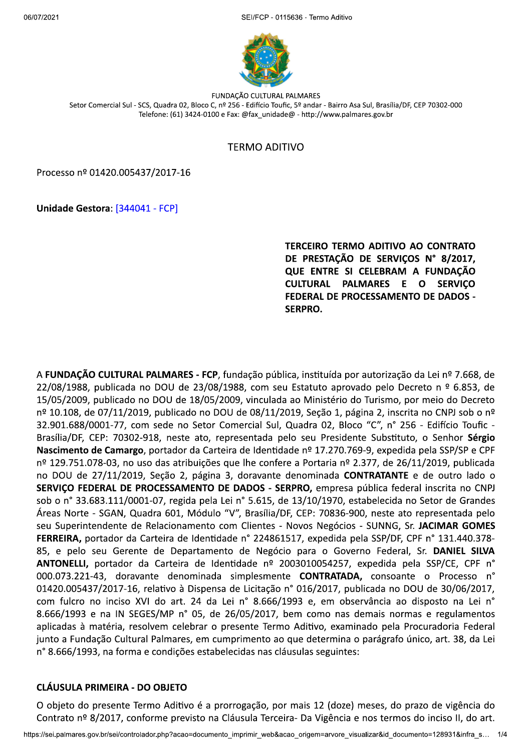SEI/FCP - 0115636 - Termo Aditivo



**FUNDAÇÃO CULTURAL PALMARES** Setor Comercial Sul - SCS, Quadra 02, Bloco C, nº 256 - Edifício Toufic, 5º andar - Bairro Asa Sul, Brasília/DF, CEP 70302-000 Telefone: (61) 3424-0100 e Fax: @fax unidade@ - http://www.palmares.gov.br

## **TERMO ADITIVO**

Processo nº 01420.005437/2017-16

Unidade Gestora: [344041 - FCP]

**TERCEIRO TERMO ADITIVO AO CONTRATO** DE PRESTAÇÃO DE SERVIÇOS Nº 8/2017, QUE ENTRE SI CELEBRAM A FUNDAÇÃO CULTURAL PALMARES E O **SERVICO** FEDERAL DE PROCESSAMENTO DE DADOS -**SERPRO.** 

A FUNDAÇÃO CULTURAL PALMARES - FCP, fundação pública, instituída por autorização da Lei nº 7.668, de 22/08/1988, publicada no DOU de 23/08/1988, com seu Estatuto aprovado pelo Decreto n º 6.853, de 15/05/2009, publicado no DOU de 18/05/2009, vinculada ao Ministério do Turismo, por meio do Decreto nº 10.108, de 07/11/2019, publicado no DOU de 08/11/2019, Seção 1, página 2, inscrita no CNPJ sob o nº 32.901.688/0001-77, com sede no Setor Comercial Sul, Quadra 02, Bloco "C", n° 256 - Edifício Toufic -Brasília/DF, CEP: 70302-918, neste ato, representada pelo seu Presidente Substituto, o Senhor Sérgio Nascimento de Camargo, portador da Carteira de Identidade nº 17.270.769-9, expedida pela SSP/SP e CPF nº 129.751.078-03, no uso das atribuições que lhe confere a Portaria nº 2.377, de 26/11/2019, publicada no DOU de 27/11/2019, Seção 2, página 3, doravante denominada CONTRATANTE e de outro lado o SERVIÇO FEDERAL DE PROCESSAMENTO DE DADOS - SERPRO, empresa pública federal inscrita no CNPJ sob o nº 33.683.111/0001-07, regida pela Lei nº 5.615, de 13/10/1970, estabelecida no Setor de Grandes Áreas Norte - SGAN, Quadra 601, Módulo "V", Brasília/DF, CEP: 70836-900, neste ato representada pelo seu Superintendente de Relacionamento com Clientes - Novos Negócios - SUNNG, Sr. JACIMAR GOMES **FERREIRA,** portador da Carteira de Identidade nº 224861517, expedida pela SSP/DF, CPF nº 131.440.378-85, e pelo seu Gerente de Departamento de Negócio para o Governo Federal, Sr. DANIEL SILVA ANTONELLI, portador da Carteira de Identidade nº 2003010054257, expedida pela SSP/CE, CPF n° 000.073.221-43, doravante denominada simplesmente **CONTRATADA**, consoante o Processo n° 01420.005437/2017-16, relativo à Dispensa de Licitação n° 016/2017, publicada no DOU de 30/06/2017, com fulcro no inciso XVI do art. 24 da Lei nº 8.666/1993 e, em observância ao disposto na Lei nº 8.666/1993 e na IN SEGES/MP n° 05, de 26/05/2017, bem como nas demais normas e regulamentos aplicadas à matéria, resolvem celebrar o presente Termo Aditivo, examinado pela Procuradoria Federal junto a Fundação Cultural Palmares, em cumprimento ao que determina o parágrafo único, art. 38, da Lei n° 8.666/1993, na forma e condições estabelecidas nas cláusulas seguintes:

#### **CLÁUSULA PRIMEIRA - DO OBJETO**

O objeto do presente Termo Aditivo é a prorrogação, por mais 12 (doze) meses, do prazo de vigência do Contrato nº 8/2017, conforme previsto na Cláusula Terceira- Da Vigência e nos termos do inciso II, do art.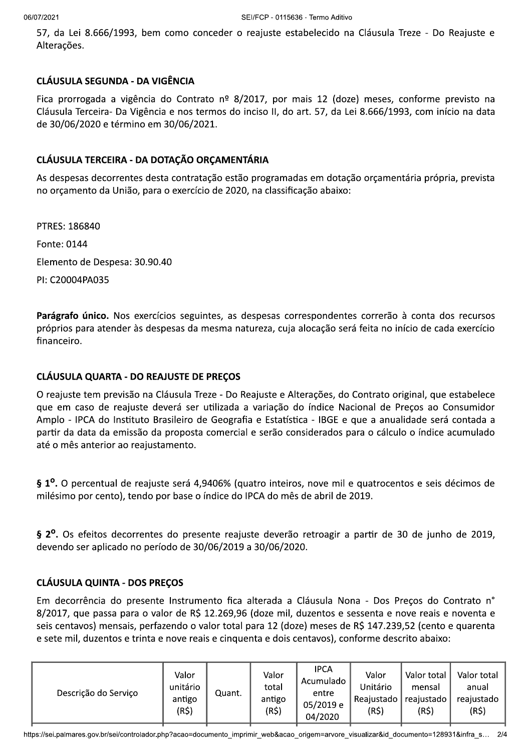57, da Lei 8.666/1993, bem como conceder o reajuste estabelecido na Cláusula Treze - Do Reajuste e Alterações.

### **CLÁUSULA SEGUNDA - DA VIGÊNCIA**

Fica prorrogada a vigência do Contrato nº 8/2017, por mais 12 (doze) meses, conforme previsto na Cláusula Terceira- Da Vigência e nos termos do inciso II, do art. 57, da Lei 8.666/1993, com início na data de 30/06/2020 e término em 30/06/2021.

## CLÁUSULA TERCEIRA - DA DOTAÇÃO ORÇAMENTÁRIA

As despesas decorrentes desta contratação estão programadas em dotação orçamentária própria, prevista no orçamento da União, para o exercício de 2020, na classificação abaixo:

**PTRES: 186840** Fonte: 0144 Elemento de Despesa: 30.90.40 PI: C20004PA035

Parágrafo único. Nos exercícios seguintes, as despesas correspondentes correrão à conta dos recursos próprios para atender às despesas da mesma natureza, cuja alocação será feita no início de cada exercício financeiro.

### **CLÁUSULA QUARTA - DO REAJUSTE DE PREÇOS**

O reajuste tem previsão na Cláusula Treze - Do Reajuste e Alterações, do Contrato original, que estabelece que em caso de reajuste deverá ser utilizada a variação do índice Nacional de Precos ao Consumidor Amplo - IPCA do Instituto Brasileiro de Geografia e Estatística - IBGE e que a anualidade será contada a partir da data da emissão da proposta comercial e serão considerados para o cálculo o índice acumulado até o mês anterior ao reajustamento.

§ 1<sup>o</sup>. O percentual de reajuste será 4,9406% (quatro inteiros, nove mil e quatrocentos e seis décimos de milésimo por cento), tendo por base o índice do IPCA do mês de abril de 2019.

§ 2<sup>o</sup>. Os efeitos decorrentes do presente reajuste deverão retroagir a partir de 30 de junho de 2019, devendo ser aplicado no período de 30/06/2019 a 30/06/2020.

#### **CLÁUSULA QUINTA - DOS PRECOS**

Em decorrência do presente Instrumento fica alterada a Cláusula Nona - Dos Preços do Contrato n° 8/2017, que passa para o valor de R\$ 12.269,96 (doze mil, duzentos e sessenta e nove reais e noventa e seis centavos) mensais, perfazendo o valor total para 12 (doze) meses de R\$ 147.239,52 (cento e quarenta e sete mil, duzentos e trinta e nove reais e cinquenta e dois centavos), conforme descrito abaixo:

| Descrição do Serviço | Valor<br>unitário<br>antigo<br>(R\$) | Quant. | Valor<br>total<br>antigo<br>(R\$) | <b>IPCA</b><br>Acumulado<br>entre<br>05/2019 e<br>04/2020 | Valor<br>Unitário<br>Reajustado<br>(R\$) | Valor total<br>mensal<br>reajustado<br>(R\$) | Valor total<br>anual<br>reajustado<br>$(R\zeta)$ |
|----------------------|--------------------------------------|--------|-----------------------------------|-----------------------------------------------------------|------------------------------------------|----------------------------------------------|--------------------------------------------------|
|----------------------|--------------------------------------|--------|-----------------------------------|-----------------------------------------------------------|------------------------------------------|----------------------------------------------|--------------------------------------------------|

https://sei.palmares.gov.br/sei/controlador.php?acao=documento\_imprimir\_web&acao\_origem=arvore\_visualizar&id\_documento=128931&infra\_s... 2/4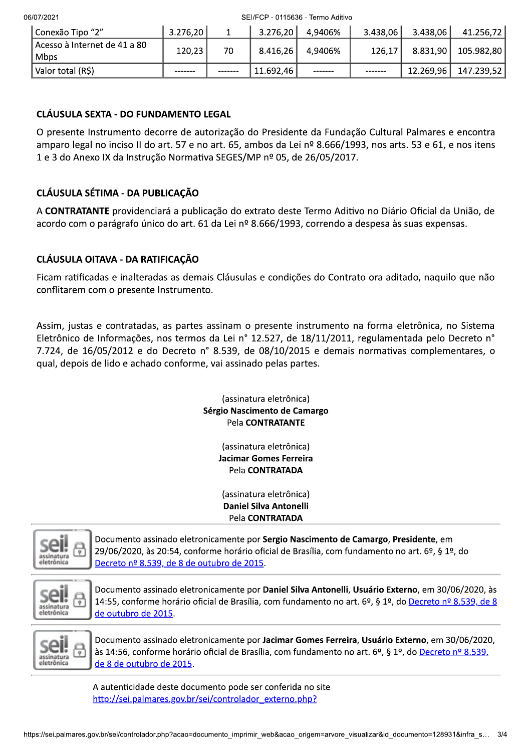06/07/20

FCP - 0115636 - Termo Aditivo

| 2/U772021                            | SEI/FUP - 0115636 - Termo Aditivo |    |           |         |          |           |            |
|--------------------------------------|-----------------------------------|----|-----------|---------|----------|-----------|------------|
| Conexão Tipo "2"                     | 3.276,20                          |    | 3.276,20  | 4,9406% | 3.438,06 | 3.438,06  | 41.256,72  |
| Acesso à Internet de 41 a 80<br>Mbps | 120,23                            | 70 | 8.416,26  | 4,9406% | 126,17   | 8.831,90  | 105.982,80 |
| Valor total (R\$)                    |                                   |    | 11.692,46 |         |          | 12.269,96 | 147.239,52 |

## CLÁUSULA SEXTA - DO FUNDAMENTO LEGAL

O presente Instrumento decorre de autorização do Presidente da Fundação Cultural Palmares e encontra amparo legal no inciso II do art. 57 e no art. 65, ambos da Lei nº 8.666/1993, nos arts. 53 e 61, e nos itens 1 e 3 do Anexo IX da Instrução Normativa SEGES/MP nº 05, de 26/05/2017.

# CLÁUSULA SÉTIMA - DA PUBLICACÃO

A CONTRATANTE providenciará a publicação do extrato deste Termo Aditivo no Diário Oficial da União, de acordo com o parágrafo único do art. 61 da Lei nº 8.666/1993, correndo a despesa às suas expensas.

## CLÁUSULA OITAVA - DA RATIFICACÃO

Ficam ratificadas e inalteradas as demais Cláusulas e condições do Contrato ora aditado, naquilo que não conflitarem com o presente Instrumento.

Assim, justas e contratadas, as partes assinam o presente instrumento na forma eletrônica, no Sistema Eletrônico de Informações, nos termos da Lei nº 12.527, de 18/11/2011, regulamentada pelo Decreto nº 7.724, de 16/05/2012 e do Decreto n° 8.539, de 08/10/2015 e demais normativas complementares, o qual, depois de lido e achado conforme, vai assinado pelas partes.

#### (assinatura eletrônica) Sérgio Nascimento de Camargo Pela CONTRATANTE

(assinatura eletrônica) **Jacimar Gomes Ferreira** Pela CONTRATADA

(assinatura eletronica) Daniel Silva Antonelli Pela CONTRATADA



Documento assinado eletronicamente por Sergio Nascimento de Camargo, Presidente, em 29/06/2020, às 20:54, conforme horário oficial de Brasília, com fundamento no art. 6º, § 1º, do Decreto nº 8.539, de 8 de outubro de 2015.



Documento assinado eletronicamente por Daniel Silva Antonelli, Usuário Externo, em 30/06/2020, às 14:55, conforme horário oficial de Brasília, com fundamento no art. 6º, § 1º, do Decreto nº 8.539, de 8 de outubro de 2015.



Documento assinado eletronicamente por Jacimar Gomes Ferreira, Usuário Externo, em 30/06/2020, às 14:56, conforme horário oficial de Brasília, com fundamento no art. 6º, § 1º, do Decreto nº 8.539, de 8 de outubro de 2015.

#\$ %#&#'\$(()"\*#(!&(' +\*(#'\$&,-\*\$.(/ -A autenticidade deste documento pode ser conferida no site http://sei.palmares.gov.br/sei/controlador externo.php?